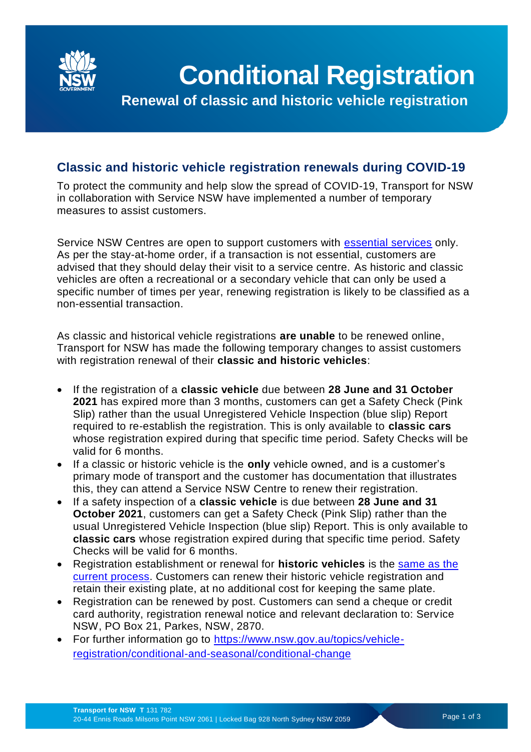

**Renewal of classic and historic vehicle registration**

## **Classic and historic vehicle registration renewals during COVID-19**

To protect the community and help slow the spread of COVID-19, Transport for NSW in collaboration with Service NSW have implemented a number of temporary measures to assist customers.

Service NSW Centres are open to support customers with [essential services](https://www.service.nsw.gov.au/covid-19/changes-transactions-due-covid-19#medical-reviews) only. As per the stay-at-home order, if a transaction is not essential, customers are advised that they should delay their visit to a service centre. As historic and classic vehicles are often a recreational or a secondary vehicle that can only be used a specific number of times per year, renewing registration is likely to be classified as a non-essential transaction.

As classic and historical vehicle registrations **are unable** to be renewed online, Transport for NSW has made the following temporary changes to assist customers with registration renewal of their **classic and historic vehicles**:

- If the registration of a **classic vehicle** due between **28 June and 31 October 2021** has expired more than 3 months, customers can get a Safety Check (Pink Slip) rather than the usual Unregistered Vehicle Inspection (blue slip) Report required to re-establish the registration. This is only available to **classic cars** whose registration expired during that specific time period. Safety Checks will be valid for 6 months.
- If a classic or historic vehicle is the **only** vehicle owned, and is a customer's primary mode of transport and the customer has documentation that illustrates this, they can attend a Service NSW Centre to renew their registration.
- If a safety inspection of a **classic vehicle** is due between **28 June and 31 October 2021**, customers can get a Safety Check (Pink Slip) rather than the usual Unregistered Vehicle Inspection (blue slip) Report. This is only available to **classic cars** whose registration expired during that specific time period. Safety Checks will be valid for 6 months.
- Registration establishment or renewal for **historic vehicles** is the [same as the](https://www.nsw.gov.au/topics/vehicle-registration/how-to/historic-vehicles/register)  [current process.](https://www.nsw.gov.au/topics/vehicle-registration/how-to/historic-vehicles/register) Customers can renew their historic vehicle registration and retain their existing plate, at no additional cost for keeping the same plate.
- Registration can be renewed by post. Customers can send a cheque or credit card authority, registration renewal notice and relevant declaration to: Service NSW, PO Box 21, Parkes, NSW, 2870.
- For further information go to [https://www.nsw.gov.au/topics/vehicle](https://www.nsw.gov.au/topics/vehicle-registration/conditional-and-seasonal/conditional-change)[registration/conditional-and-seasonal/conditional-change](https://www.nsw.gov.au/topics/vehicle-registration/conditional-and-seasonal/conditional-change)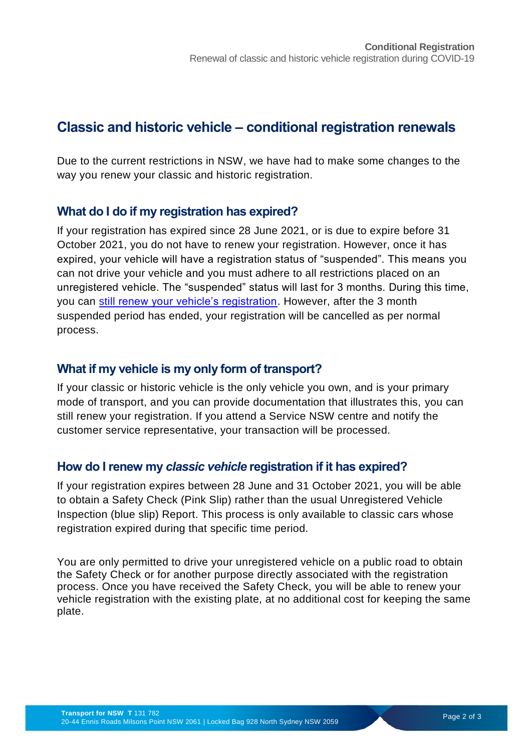# **Classic and historic vehicle – conditional registration renewals**

Due to the current restrictions in NSW, we have had to make some changes to the way you renew your classic and historic registration.

### **What do I do if my registration has expired?**

If your registration has expired since 28 June 2021, or is due to expire before 31 October 2021, you do not have to renew your registration. However, once it has expired, your vehicle will have a registration status of "suspended". This means you can not drive your vehicle and you must adhere to all restrictions placed on an unregistered vehicle. The "suspended" status will last for 3 months. During this time, you can [still renew your vehicle's registration.](https://www.nsw.gov.au/topics/vehicle-registration/how-to) However, after the 3 month suspended period has ended, your registration will be cancelled as per normal process.

## **What if my vehicle is my only form of transport?**

If your classic or historic vehicle is the only vehicle you own, and is your primary mode of transport, and you can provide documentation that illustrates this, you can still renew your registration. If you attend a Service NSW centre and notify the customer service representative, your transaction will be processed.

## **How do I renew my** *classic vehicle* **registration if it has expired?**

If your registration expires between 28 June and 31 October 2021, you will be able to obtain a Safety Check (Pink Slip) rather than the usual Unregistered Vehicle Inspection (blue slip) Report. This process is only available to classic cars whose registration expired during that specific time period.

You are only permitted to drive your unregistered vehicle on a public road to obtain the Safety Check or for another purpose directly associated with the registration process. Once you have received the Safety Check, you will be able to renew your vehicle registration with the existing plate, at no additional cost for keeping the same plate.